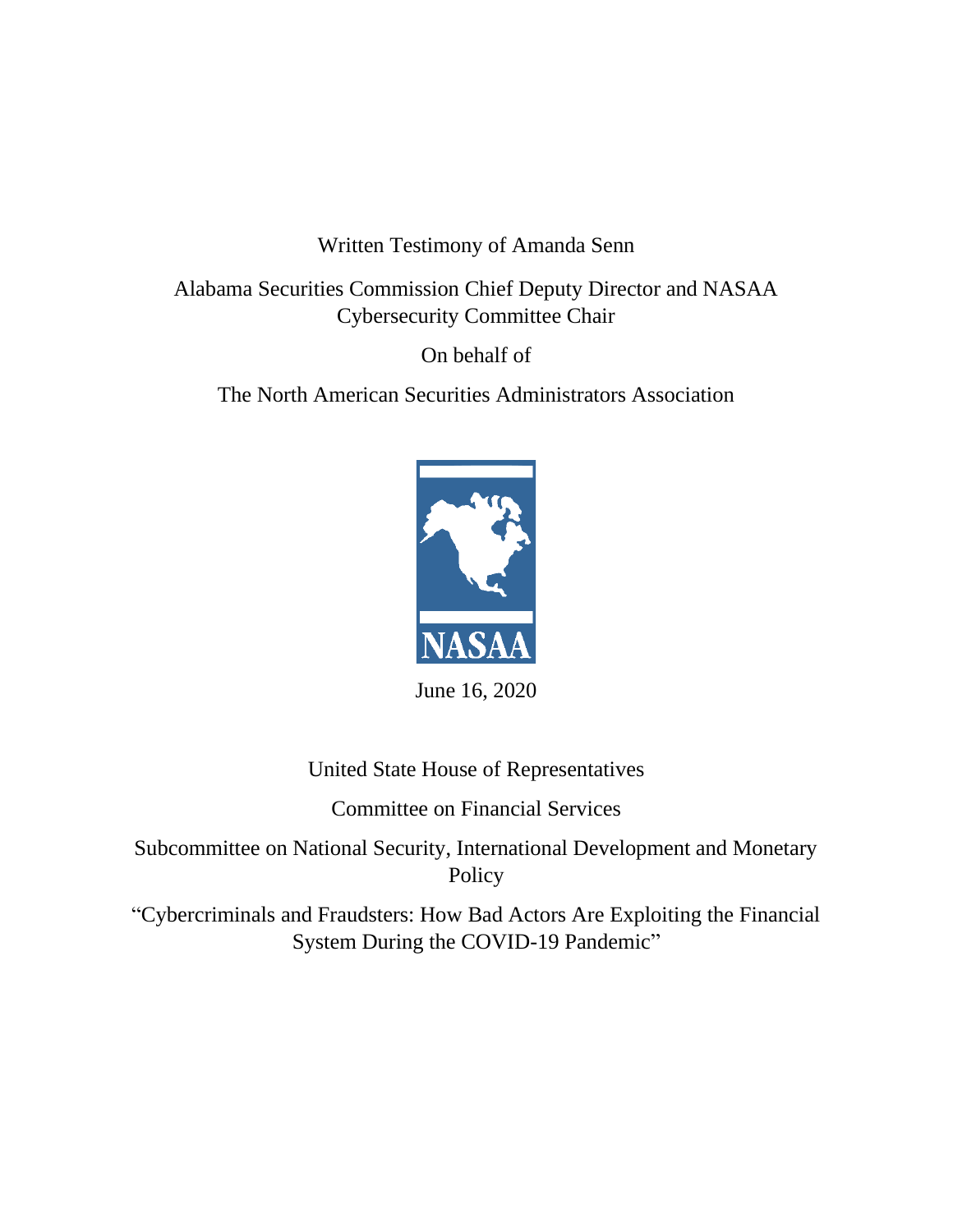# Written Testimony of Amanda Senn

Alabama Securities Commission Chief Deputy Director and NASAA Cybersecurity Committee Chair

On behalf of

The North American Securities Administrators Association



June 16, 2020

United State House of Representatives

Committee on Financial Services

Subcommittee on National Security, International Development and Monetary Policy

"Cybercriminals and Fraudsters: How Bad Actors Are Exploiting the Financial System During the COVID-19 Pandemic"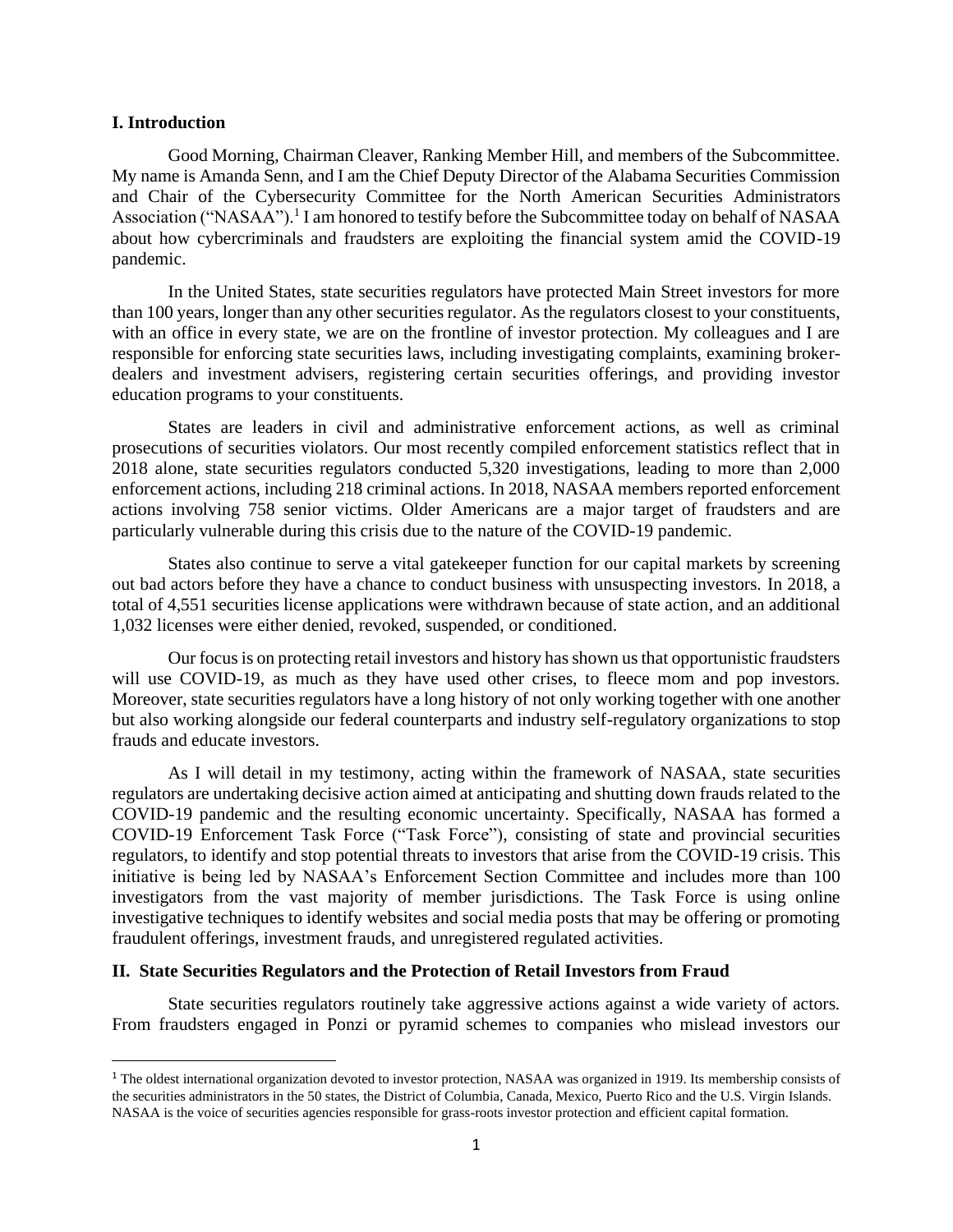#### **I. Introduction**

Good Morning, Chairman Cleaver, Ranking Member Hill, and members of the Subcommittee. My name is Amanda Senn, and I am the Chief Deputy Director of the Alabama Securities Commission and Chair of the Cybersecurity Committee for the North American Securities Administrators Association ("NASAA").<sup>1</sup> I am honored to testify before the Subcommittee today on behalf of NASAA about how cybercriminals and fraudsters are exploiting the financial system amid the COVID-19 pandemic.

In the United States, state securities regulators have protected Main Street investors for more than 100 years, longer than any other securities regulator. As the regulators closest to your constituents, with an office in every state, we are on the frontline of investor protection. My colleagues and I are responsible for enforcing state securities laws, including investigating complaints, examining brokerdealers and investment advisers, registering certain securities offerings, and providing investor education programs to your constituents.

States are leaders in civil and administrative enforcement actions, as well as criminal prosecutions of securities violators. Our most recently compiled enforcement statistics reflect that in 2018 alone, state securities regulators conducted 5,320 investigations, leading to more than 2,000 enforcement actions, including 218 criminal actions. In 2018, NASAA members reported enforcement actions involving 758 senior victims. Older Americans are a major target of fraudsters and are particularly vulnerable during this crisis due to the nature of the COVID-19 pandemic.

States also continue to serve a vital gatekeeper function for our capital markets by screening out bad actors before they have a chance to conduct business with unsuspecting investors. In 2018, a total of 4,551 securities license applications were withdrawn because of state action, and an additional 1,032 licenses were either denied, revoked, suspended, or conditioned.

Our focus is on protecting retail investors and history has shown us that opportunistic fraudsters will use COVID-19, as much as they have used other crises, to fleece mom and pop investors. Moreover, state securities regulators have a long history of not only working together with one another but also working alongside our federal counterparts and industry self-regulatory organizations to stop frauds and educate investors.

As I will detail in my testimony, acting within the framework of NASAA, state securities regulators are undertaking decisive action aimed at anticipating and shutting down frauds related to the COVID-19 pandemic and the resulting economic uncertainty. Specifically, NASAA has formed a COVID-19 Enforcement Task Force ("Task Force"), consisting of state and provincial securities regulators, to identify and stop potential threats to investors that arise from the COVID-19 crisis. This initiative is being led by NASAA's Enforcement Section Committee and includes more than 100 investigators from the vast majority of member jurisdictions. The Task Force is using online investigative techniques to identify websites and social media posts that may be offering or promoting fraudulent offerings, investment frauds, and unregistered regulated activities.

#### **II. State Securities Regulators and the Protection of Retail Investors from Fraud**

State securities regulators routinely take aggressive actions against a wide variety of actors. From fraudsters engaged in Ponzi or pyramid schemes to companies who mislead investors our

<sup>&</sup>lt;sup>1</sup> The oldest international organization devoted to investor protection, NASAA was organized in 1919. Its membership consists of the securities administrators in the 50 states, the District of Columbia, Canada, Mexico, Puerto Rico and the U.S. Virgin Islands. NASAA is the voice of securities agencies responsible for grass-roots investor protection and efficient capital formation.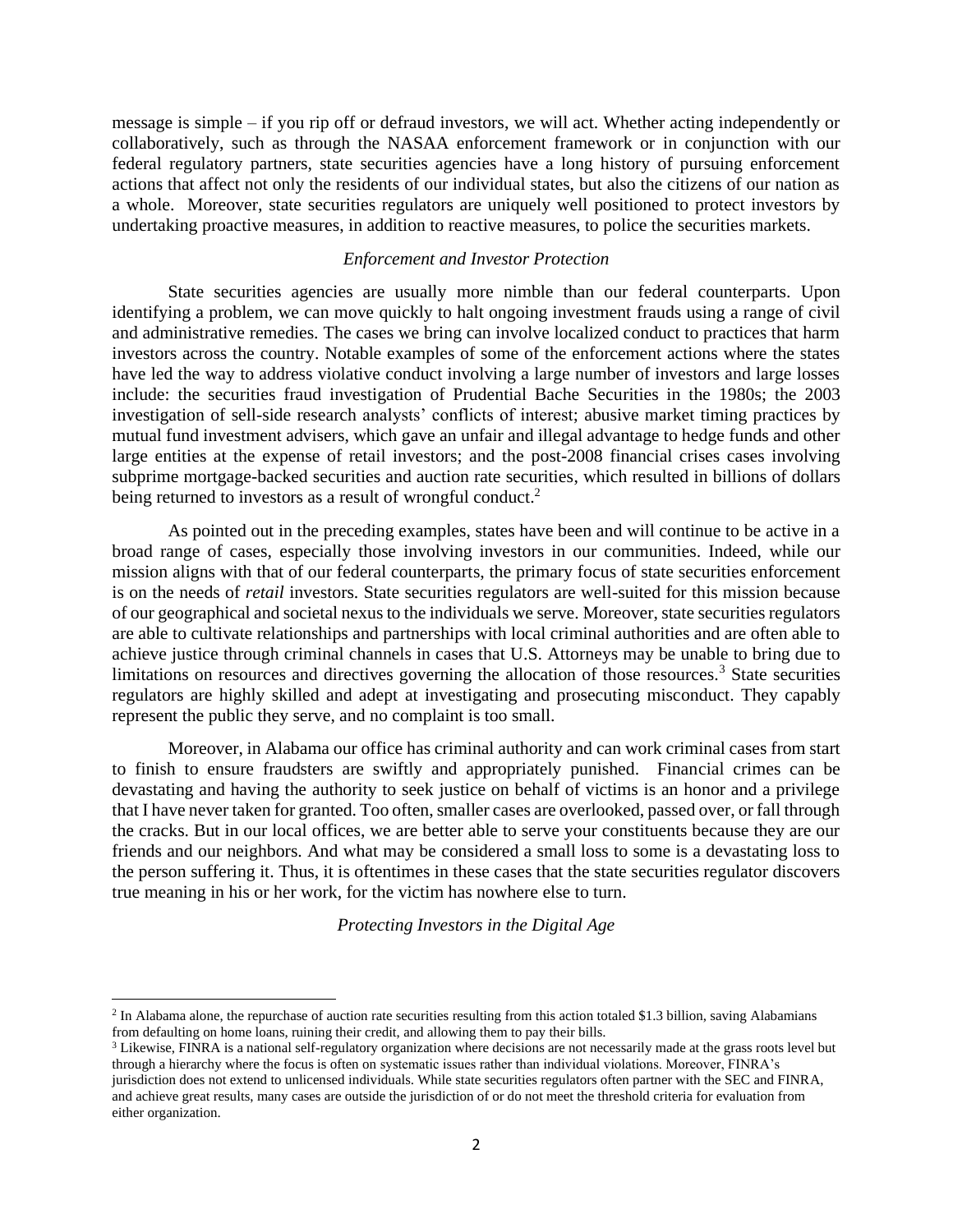message is simple – if you rip off or defraud investors, we will act. Whether acting independently or collaboratively, such as through the NASAA enforcement framework or in conjunction with our federal regulatory partners, state securities agencies have a long history of pursuing enforcement actions that affect not only the residents of our individual states, but also the citizens of our nation as a whole. Moreover, state securities regulators are uniquely well positioned to protect investors by undertaking proactive measures, in addition to reactive measures, to police the securities markets.

## *Enforcement and Investor Protection*

State securities agencies are usually more nimble than our federal counterparts. Upon identifying a problem, we can move quickly to halt ongoing investment frauds using a range of civil and administrative remedies. The cases we bring can involve localized conduct to practices that harm investors across the country. Notable examples of some of the enforcement actions where the states have led the way to address violative conduct involving a large number of investors and large losses include: the securities fraud investigation of Prudential Bache Securities in the 1980s; the 2003 investigation of sell-side research analysts' conflicts of interest; abusive market timing practices by mutual fund investment advisers, which gave an unfair and illegal advantage to hedge funds and other large entities at the expense of retail investors; and the post-2008 financial crises cases involving subprime mortgage-backed securities and auction rate securities, which resulted in billions of dollars being returned to investors as a result of wrongful conduct.<sup>2</sup>

As pointed out in the preceding examples, states have been and will continue to be active in a broad range of cases, especially those involving investors in our communities. Indeed, while our mission aligns with that of our federal counterparts, the primary focus of state securities enforcement is on the needs of *retail* investors. State securities regulators are well-suited for this mission because of our geographical and societal nexus to the individuals we serve. Moreover, state securities regulators are able to cultivate relationships and partnerships with local criminal authorities and are often able to achieve justice through criminal channels in cases that U.S. Attorneys may be unable to bring due to limitations on resources and directives governing the allocation of those resources.<sup>3</sup> State securities regulators are highly skilled and adept at investigating and prosecuting misconduct. They capably represent the public they serve, and no complaint is too small.

Moreover, in Alabama our office has criminal authority and can work criminal cases from start to finish to ensure fraudsters are swiftly and appropriately punished. Financial crimes can be devastating and having the authority to seek justice on behalf of victims is an honor and a privilege that I have never taken for granted. Too often, smaller cases are overlooked, passed over, or fall through the cracks. But in our local offices, we are better able to serve your constituents because they are our friends and our neighbors. And what may be considered a small loss to some is a devastating loss to the person suffering it. Thus, it is oftentimes in these cases that the state securities regulator discovers true meaning in his or her work, for the victim has nowhere else to turn.

*Protecting Investors in the Digital Age*

<sup>&</sup>lt;sup>2</sup> In Alabama alone, the repurchase of auction rate securities resulting from this action totaled \$1.3 billion, saving Alabamians from defaulting on home loans, ruining their credit, and allowing them to pay their bills.

<sup>&</sup>lt;sup>3</sup> Likewise, FINRA is a national self-regulatory organization where decisions are not necessarily made at the grass roots level but through a hierarchy where the focus is often on systematic issues rather than individual violations. Moreover, FINRA's jurisdiction does not extend to unlicensed individuals. While state securities regulators often partner with the SEC and FINRA, and achieve great results, many cases are outside the jurisdiction of or do not meet the threshold criteria for evaluation from either organization.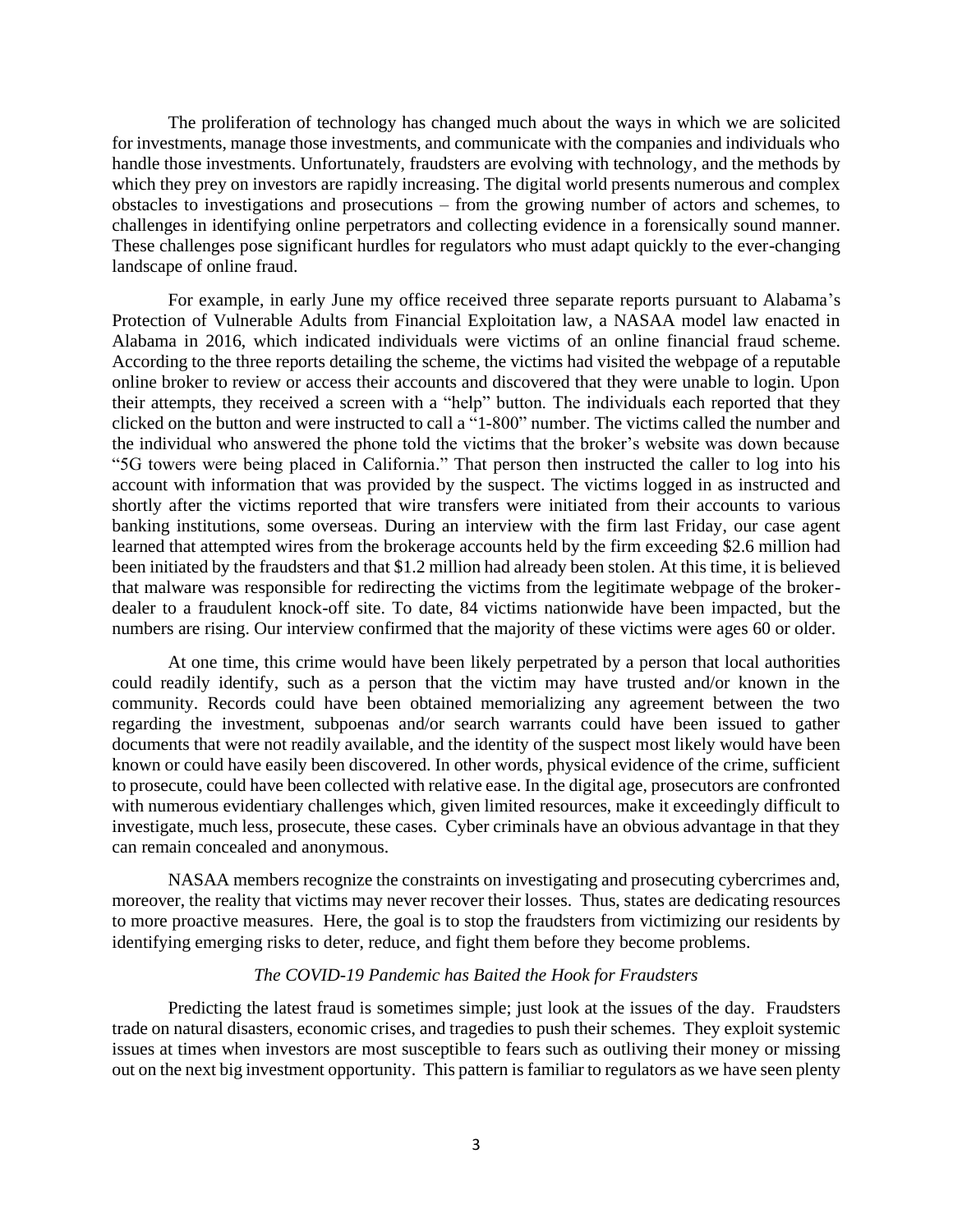The proliferation of technology has changed much about the ways in which we are solicited for investments, manage those investments, and communicate with the companies and individuals who handle those investments. Unfortunately, fraudsters are evolving with technology, and the methods by which they prey on investors are rapidly increasing. The digital world presents numerous and complex obstacles to investigations and prosecutions – from the growing number of actors and schemes, to challenges in identifying online perpetrators and collecting evidence in a forensically sound manner. These challenges pose significant hurdles for regulators who must adapt quickly to the ever-changing landscape of online fraud.

For example, in early June my office received three separate reports pursuant to Alabama's Protection of Vulnerable Adults from Financial Exploitation law, a NASAA model law enacted in Alabama in 2016, which indicated individuals were victims of an online financial fraud scheme. According to the three reports detailing the scheme, the victims had visited the webpage of a reputable online broker to review or access their accounts and discovered that they were unable to login. Upon their attempts, they received a screen with a "help" button. The individuals each reported that they clicked on the button and were instructed to call a "1-800" number. The victims called the number and the individual who answered the phone told the victims that the broker's website was down because "5G towers were being placed in California." That person then instructed the caller to log into his account with information that was provided by the suspect. The victims logged in as instructed and shortly after the victims reported that wire transfers were initiated from their accounts to various banking institutions, some overseas. During an interview with the firm last Friday, our case agent learned that attempted wires from the brokerage accounts held by the firm exceeding \$2.6 million had been initiated by the fraudsters and that \$1.2 million had already been stolen. At this time, it is believed that malware was responsible for redirecting the victims from the legitimate webpage of the brokerdealer to a fraudulent knock-off site. To date, 84 victims nationwide have been impacted, but the numbers are rising. Our interview confirmed that the majority of these victims were ages 60 or older.

At one time, this crime would have been likely perpetrated by a person that local authorities could readily identify, such as a person that the victim may have trusted and/or known in the community. Records could have been obtained memorializing any agreement between the two regarding the investment, subpoenas and/or search warrants could have been issued to gather documents that were not readily available, and the identity of the suspect most likely would have been known or could have easily been discovered. In other words, physical evidence of the crime, sufficient to prosecute, could have been collected with relative ease. In the digital age, prosecutors are confronted with numerous evidentiary challenges which, given limited resources, make it exceedingly difficult to investigate, much less, prosecute, these cases. Cyber criminals have an obvious advantage in that they can remain concealed and anonymous.

NASAA members recognize the constraints on investigating and prosecuting cybercrimes and, moreover, the reality that victims may never recover their losses. Thus, states are dedicating resources to more proactive measures. Here, the goal is to stop the fraudsters from victimizing our residents by identifying emerging risks to deter, reduce, and fight them before they become problems.

## *The COVID-19 Pandemic has Baited the Hook for Fraudsters*

Predicting the latest fraud is sometimes simple; just look at the issues of the day. Fraudsters trade on natural disasters, economic crises, and tragedies to push their schemes. They exploit systemic issues at times when investors are most susceptible to fears such as outliving their money or missing out on the next big investment opportunity. This pattern is familiar to regulators as we have seen plenty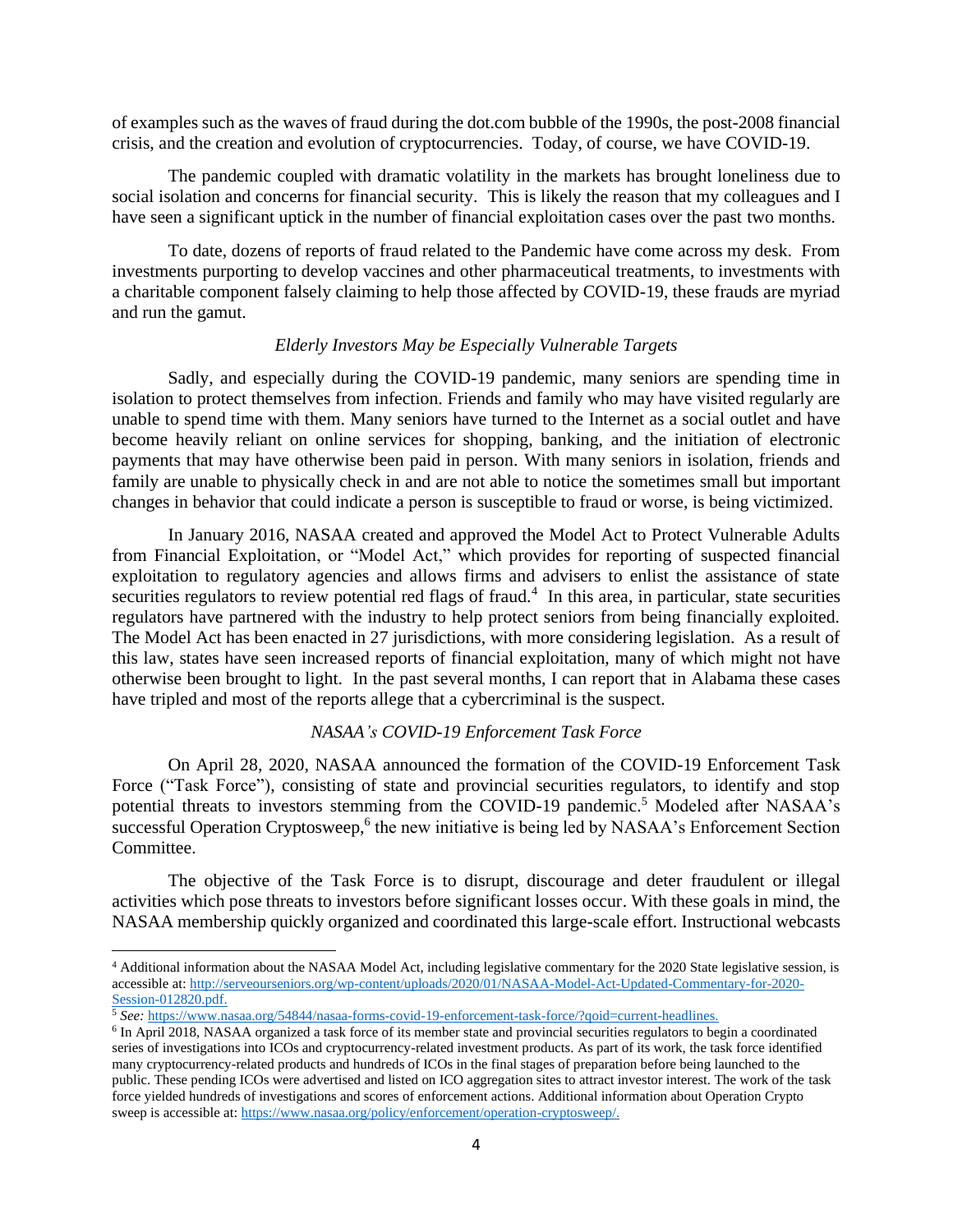of examples such as the waves of fraud during the dot.com bubble of the 1990s, the post-2008 financial crisis, and the creation and evolution of cryptocurrencies. Today, of course, we have COVID-19.

The pandemic coupled with dramatic volatility in the markets has brought loneliness due to social isolation and concerns for financial security. This is likely the reason that my colleagues and I have seen a significant uptick in the number of financial exploitation cases over the past two months.

To date, dozens of reports of fraud related to the Pandemic have come across my desk. From investments purporting to develop vaccines and other pharmaceutical treatments, to investments with a charitable component falsely claiming to help those affected by COVID-19, these frauds are myriad and run the gamut.

#### *Elderly Investors May be Especially Vulnerable Targets*

Sadly, and especially during the COVID-19 pandemic, many seniors are spending time in isolation to protect themselves from infection. Friends and family who may have visited regularly are unable to spend time with them. Many seniors have turned to the Internet as a social outlet and have become heavily reliant on online services for shopping, banking, and the initiation of electronic payments that may have otherwise been paid in person. With many seniors in isolation, friends and family are unable to physically check in and are not able to notice the sometimes small but important changes in behavior that could indicate a person is susceptible to fraud or worse, is being victimized.

In January 2016, NASAA created and approved the Model Act to Protect Vulnerable Adults from Financial Exploitation, or "Model Act," which provides for reporting of suspected financial exploitation to regulatory agencies and allows firms and advisers to enlist the assistance of state securities regulators to review potential red flags of fraud.<sup>4</sup> In this area, in particular, state securities regulators have partnered with the industry to help protect seniors from being financially exploited. The Model Act has been enacted in 27 jurisdictions, with more considering legislation. As a result of this law, states have seen increased reports of financial exploitation, many of which might not have otherwise been brought to light. In the past several months, I can report that in Alabama these cases have tripled and most of the reports allege that a cybercriminal is the suspect.

## *NASAA's COVID-19 Enforcement Task Force*

On April 28, 2020, NASAA announced the formation of the COVID-19 Enforcement Task Force ("Task Force"), consisting of state and provincial securities regulators, to identify and stop potential threats to investors stemming from the COVID-19 pandemic.<sup>5</sup> Modeled after NASAA's successful Operation Cryptosweep,<sup>6</sup> the new initiative is being led by NASAA's Enforcement Section Committee.

The objective of the Task Force is to disrupt, discourage and deter fraudulent or illegal activities which pose threats to investors before significant losses occur. With these goals in mind, the NASAA membership quickly organized and coordinated this large-scale effort. Instructional webcasts

<sup>4</sup> Additional information about the NASAA Model Act, including legislative commentary for the 2020 State legislative session, is accessible at: [http://serveourseniors.org/wp-content/uploads/2020/01/NASAA-Model-Act-Updated-Commentary-for-2020-](http://serveourseniors.org/wp-content/uploads/2020/01/NASAA-Model-Act-Updated-Commentary-for-2020-Session-012820.pdf) [Session-012820.pdf.](http://serveourseniors.org/wp-content/uploads/2020/01/NASAA-Model-Act-Updated-Commentary-for-2020-Session-012820.pdf)

<sup>5</sup> *See:* [https://www.nasaa.org/54844/nasaa-forms-covid-19-enforcement-task-force/?qoid=current-headlines.](https://www.nasaa.org/54844/nasaa-forms-covid-19-enforcement-task-force/?qoid=current-headlines)

<sup>&</sup>lt;sup>6</sup> In April 2018, NASAA organized a task force of its member state and provincial securities regulators to begin a coordinated series of investigations into ICOs and cryptocurrency-related investment products. As part of its work, the task force identified many cryptocurrency-related products and hundreds of ICOs in the final stages of preparation before being launched to the public. These pending ICOs were advertised and listed on ICO aggregation sites to attract investor interest. The work of the task force yielded hundreds of investigations and scores of enforcement actions. Additional information about Operation Crypto sweep is accessible at: [https://www.nasaa.org/policy/enforcement/operation-cryptosweep/.](https://www.nasaa.org/policy/enforcement/operation-cryptosweep/)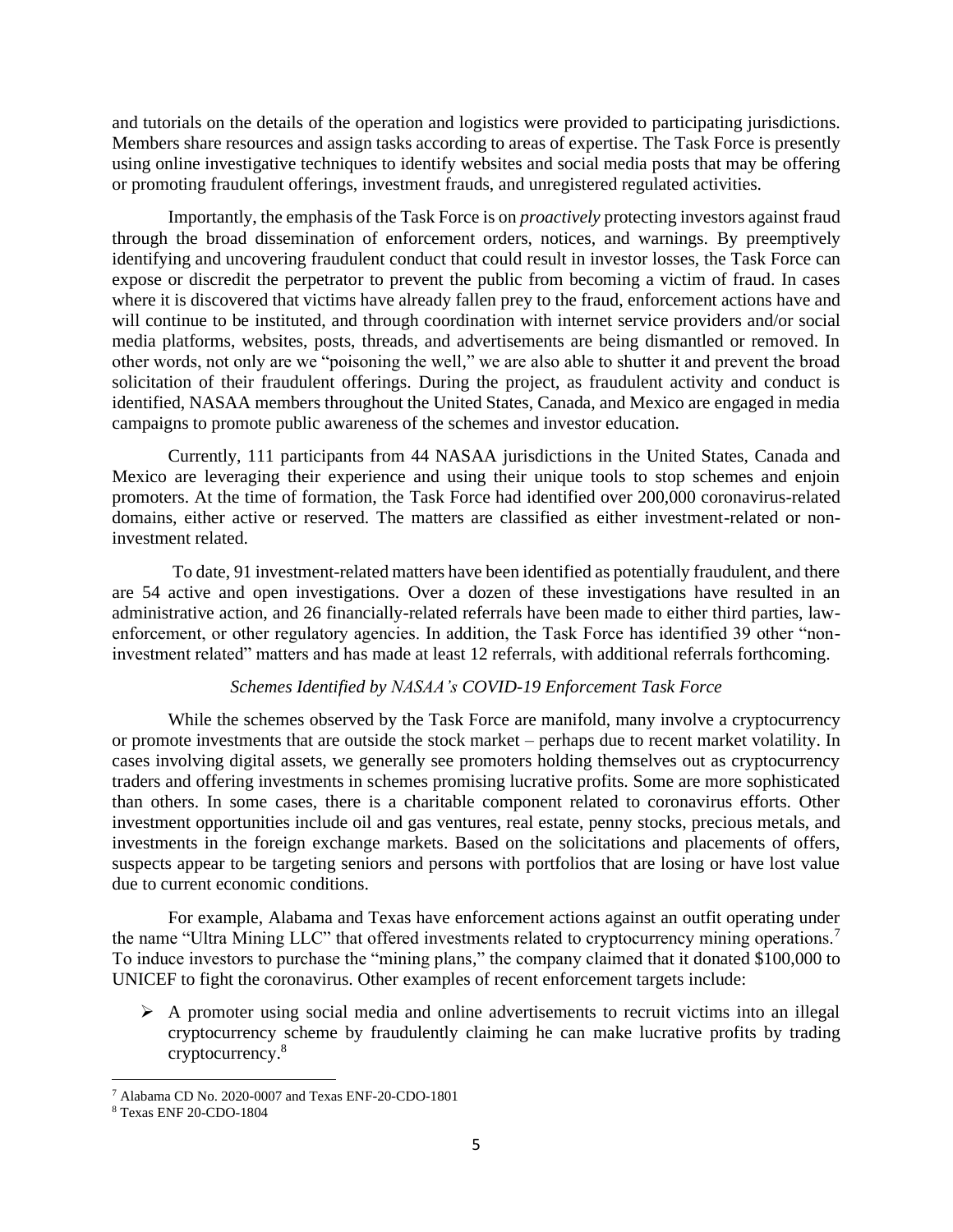and tutorials on the details of the operation and logistics were provided to participating jurisdictions. Members share resources and assign tasks according to areas of expertise. The Task Force is presently using online investigative techniques to identify websites and social media posts that may be offering or promoting fraudulent offerings, investment frauds, and unregistered regulated activities.

Importantly, the emphasis of the Task Force is on *proactively* protecting investors against fraud through the broad dissemination of enforcement orders, notices, and warnings. By preemptively identifying and uncovering fraudulent conduct that could result in investor losses, the Task Force can expose or discredit the perpetrator to prevent the public from becoming a victim of fraud. In cases where it is discovered that victims have already fallen prey to the fraud, enforcement actions have and will continue to be instituted, and through coordination with internet service providers and/or social media platforms, websites, posts, threads, and advertisements are being dismantled or removed. In other words, not only are we "poisoning the well," we are also able to shutter it and prevent the broad solicitation of their fraudulent offerings. During the project, as fraudulent activity and conduct is identified, NASAA members throughout the United States, Canada, and Mexico are engaged in media campaigns to promote public awareness of the schemes and investor education.

Currently, 111 participants from 44 NASAA jurisdictions in the United States, Canada and Mexico are leveraging their experience and using their unique tools to stop schemes and enjoin promoters. At the time of formation, the Task Force had identified over 200,000 coronavirus-related domains, either active or reserved. The matters are classified as either investment-related or noninvestment related.

To date, 91 investment-related matters have been identified as potentially fraudulent, and there are 54 active and open investigations. Over a dozen of these investigations have resulted in an administrative action, and 26 financially-related referrals have been made to either third parties, lawenforcement, or other regulatory agencies. In addition, the Task Force has identified 39 other "noninvestment related" matters and has made at least 12 referrals, with additional referrals forthcoming.

## *Schemes Identified by NASAA's COVID-19 Enforcement Task Force*

While the schemes observed by the Task Force are manifold, many involve a cryptocurrency or promote investments that are outside the stock market – perhaps due to recent market volatility. In cases involving digital assets, we generally see promoters holding themselves out as cryptocurrency traders and offering investments in schemes promising lucrative profits. Some are more sophisticated than others. In some cases, there is a charitable component related to coronavirus efforts. Other investment opportunities include oil and gas ventures, real estate, penny stocks, precious metals, and investments in the foreign exchange markets. Based on the solicitations and placements of offers, suspects appear to be targeting seniors and persons with portfolios that are losing or have lost value due to current economic conditions.

For example, Alabama and Texas have enforcement actions against an outfit operating under the name "Ultra Mining LLC" that offered investments related to cryptocurrency mining operations.<sup>7</sup> To induce investors to purchase the "mining plans," the company claimed that it donated \$100,000 to UNICEF to fight the coronavirus. Other examples of recent enforcement targets include:

➢ A promoter using social media and online advertisements to recruit victims into an illegal cryptocurrency scheme by fraudulently claiming he can make lucrative profits by trading cryptocurrency.<sup>8</sup>

<sup>7</sup> Alabama CD No. 2020-0007 and Texas ENF-20-CDO-1801

<sup>8</sup> Texas ENF 20-CDO-1804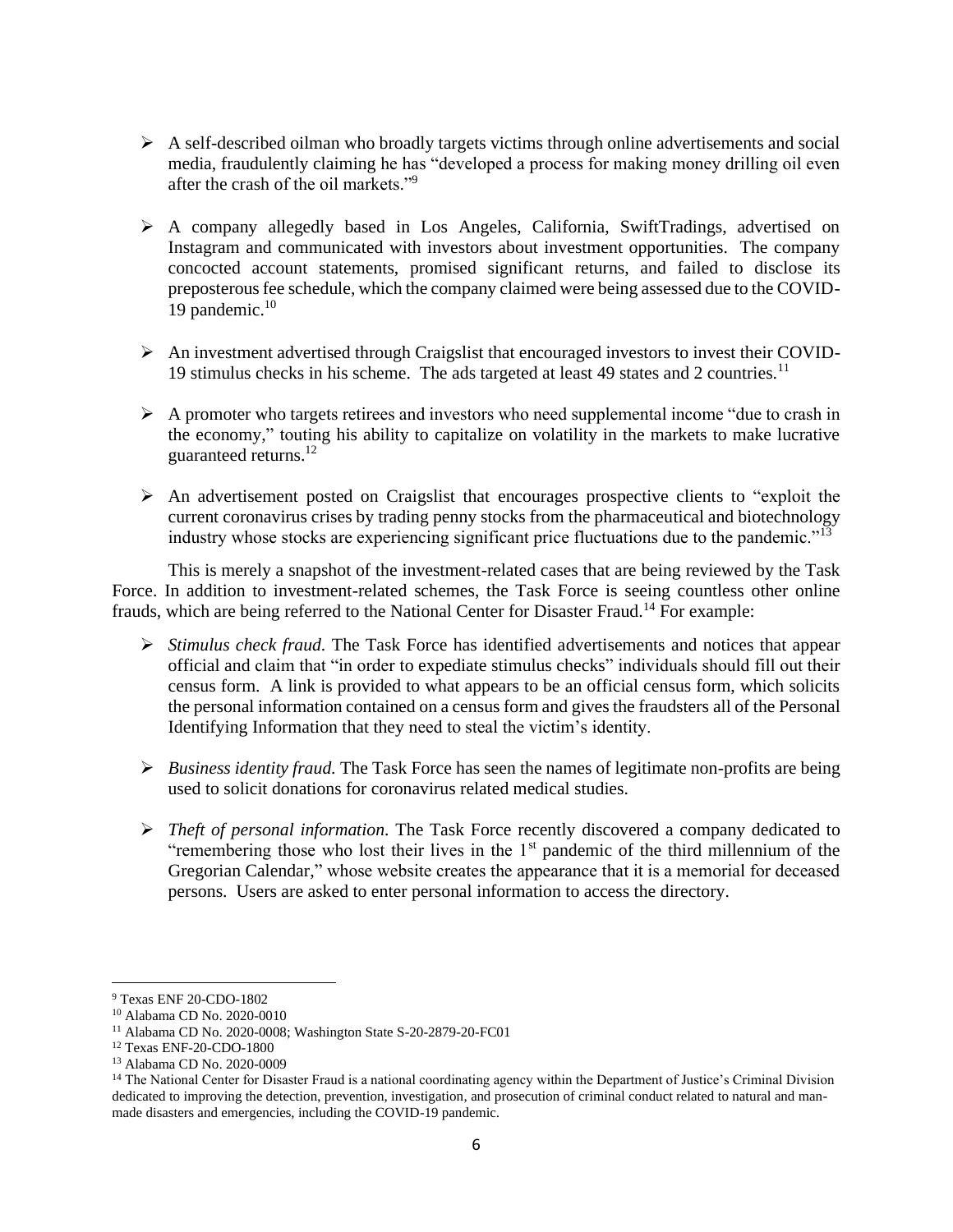- $\triangleright$  A self-described oilman who broadly targets victims through online advertisements and social media, fraudulently claiming he has "developed a process for making money drilling oil even after the crash of the oil markets."<sup>9</sup>
- ➢ A company allegedly based in Los Angeles, California, SwiftTradings, advertised on Instagram and communicated with investors about investment opportunities. The company concocted account statements, promised significant returns, and failed to disclose its preposterous fee schedule, which the company claimed were being assessed due to the COVID-19 pandemic. $10$
- $\triangleright$  An investment advertised through Craigslist that encouraged investors to invest their COVID-19 stimulus checks in his scheme. The ads targeted at least 49 states and 2 countries.<sup>11</sup>
- $\triangleright$  A promoter who targets retirees and investors who need supplemental income "due to crash in the economy," touting his ability to capitalize on volatility in the markets to make lucrative guaranteed returns.<sup>12</sup>
- ➢ An advertisement posted on Craigslist that encourages prospective clients to "exploit the current coronavirus crises by trading penny stocks from the pharmaceutical and biotechnology industry whose stocks are experiencing significant price fluctuations due to the pandemic."<sup>13</sup>

This is merely a snapshot of the investment-related cases that are being reviewed by the Task Force. In addition to investment-related schemes, the Task Force is seeing countless other online frauds, which are being referred to the National Center for Disaster Fraud.<sup>14</sup> For example:

- ➢ *Stimulus check fraud.* The Task Force has identified advertisements and notices that appear official and claim that "in order to expediate stimulus checks" individuals should fill out their census form. A link is provided to what appears to be an official census form, which solicits the personal information contained on a census form and gives the fraudsters all of the Personal Identifying Information that they need to steal the victim's identity.
- ➢ *Business identity fraud.* The Task Force has seen the names of legitimate non-profits are being used to solicit donations for coronavirus related medical studies.
- ➢ *Theft of personal information.* The Task Force recently discovered a company dedicated to "remembering those who lost their lives in the  $1<sup>st</sup>$  pandemic of the third millennium of the Gregorian Calendar," whose website creates the appearance that it is a memorial for deceased persons. Users are asked to enter personal information to access the directory.

<sup>9</sup> Texas ENF 20-CDO-1802

<sup>10</sup> Alabama CD No. 2020-0010

<sup>11</sup> Alabama CD No. 2020-0008; Washington State S-20-2879-20-FC01

<sup>12</sup> Texas ENF-20-CDO-1800

<sup>13</sup> Alabama CD No. 2020-0009

<sup>&</sup>lt;sup>14</sup> The National Center for Disaster Fraud is a national coordinating agency within the Department of Justice's Criminal Division dedicated to improving the detection, prevention, investigation, and prosecution of criminal conduct related to natural and manmade disasters and emergencies, including the COVID-19 pandemic.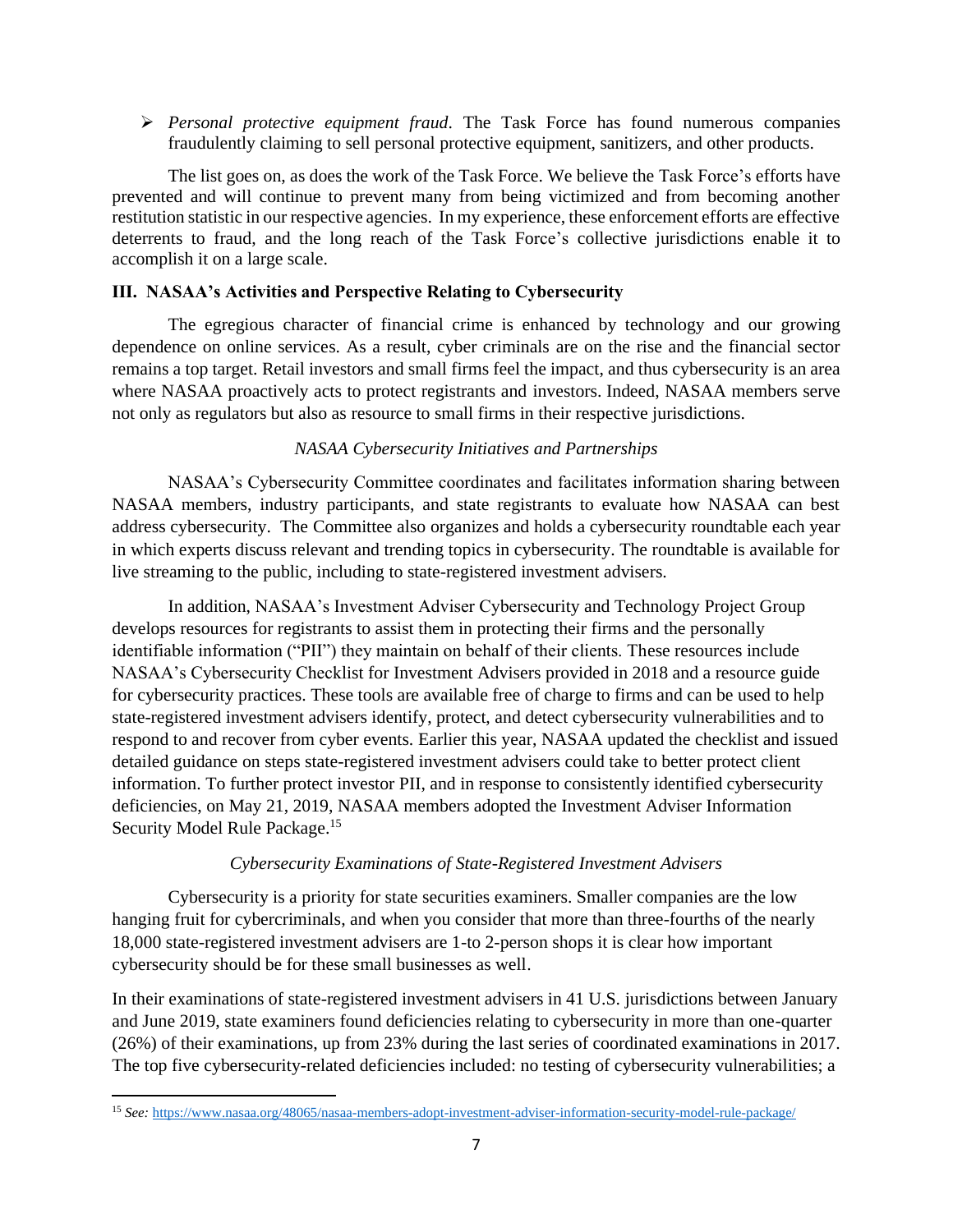➢ *Personal protective equipment fraud.* The Task Force has found numerous companies fraudulently claiming to sell personal protective equipment, sanitizers, and other products.

The list goes on, as does the work of the Task Force. We believe the Task Force's efforts have prevented and will continue to prevent many from being victimized and from becoming another restitution statistic in our respective agencies. In my experience, these enforcement efforts are effective deterrents to fraud, and the long reach of the Task Force's collective jurisdictions enable it to accomplish it on a large scale.

## **III. NASAA's Activities and Perspective Relating to Cybersecurity**

The egregious character of financial crime is enhanced by technology and our growing dependence on online services. As a result, cyber criminals are on the rise and the financial sector remains a top target. Retail investors and small firms feel the impact, and thus cybersecurity is an area where NASAA proactively acts to protect registrants and investors. Indeed, NASAA members serve not only as regulators but also as resource to small firms in their respective jurisdictions.

# *NASAA Cybersecurity Initiatives and Partnerships*

NASAA's Cybersecurity Committee coordinates and facilitates information sharing between NASAA members, industry participants, and state registrants to evaluate how NASAA can best address cybersecurity. The Committee also organizes and holds a cybersecurity roundtable each year in which experts discuss relevant and trending topics in cybersecurity. The roundtable is available for live streaming to the public, including to state-registered investment advisers.

In addition, NASAA's Investment Adviser Cybersecurity and Technology Project Group develops resources for registrants to assist them in protecting their firms and the personally identifiable information ("PII") they maintain on behalf of their clients. These resources include NASAA's Cybersecurity Checklist for Investment Advisers provided in 2018 and a resource guide for cybersecurity practices. These tools are available free of charge to firms and can be used to help state-registered investment advisers identify, protect, and detect cybersecurity vulnerabilities and to respond to and recover from cyber events. Earlier this year, NASAA updated the checklist and issued detailed guidance on steps state-registered investment advisers could take to better protect client information. To further protect investor PII, and in response to consistently identified cybersecurity deficiencies, on May 21, 2019, NASAA members adopted the Investment Adviser Information Security Model Rule Package.<sup>15</sup>

# *Cybersecurity Examinations of State-Registered Investment Advisers*

Cybersecurity is a priority for state securities examiners. Smaller companies are the low hanging fruit for cybercriminals, and when you consider that more than three-fourths of the nearly 18,000 state-registered investment advisers are 1-to 2-person shops it is clear how important cybersecurity should be for these small businesses as well.

In their examinations of state-registered investment advisers in 41 U.S. jurisdictions between January and June 2019, state examiners found deficiencies relating to cybersecurity in more than one-quarter (26%) of their examinations, up from 23% during the last series of coordinated examinations in 2017. The top five cybersecurity-related deficiencies included: no testing of cybersecurity vulnerabilities; a

<sup>15</sup> *See:* <https://www.nasaa.org/48065/nasaa-members-adopt-investment-adviser-information-security-model-rule-package/>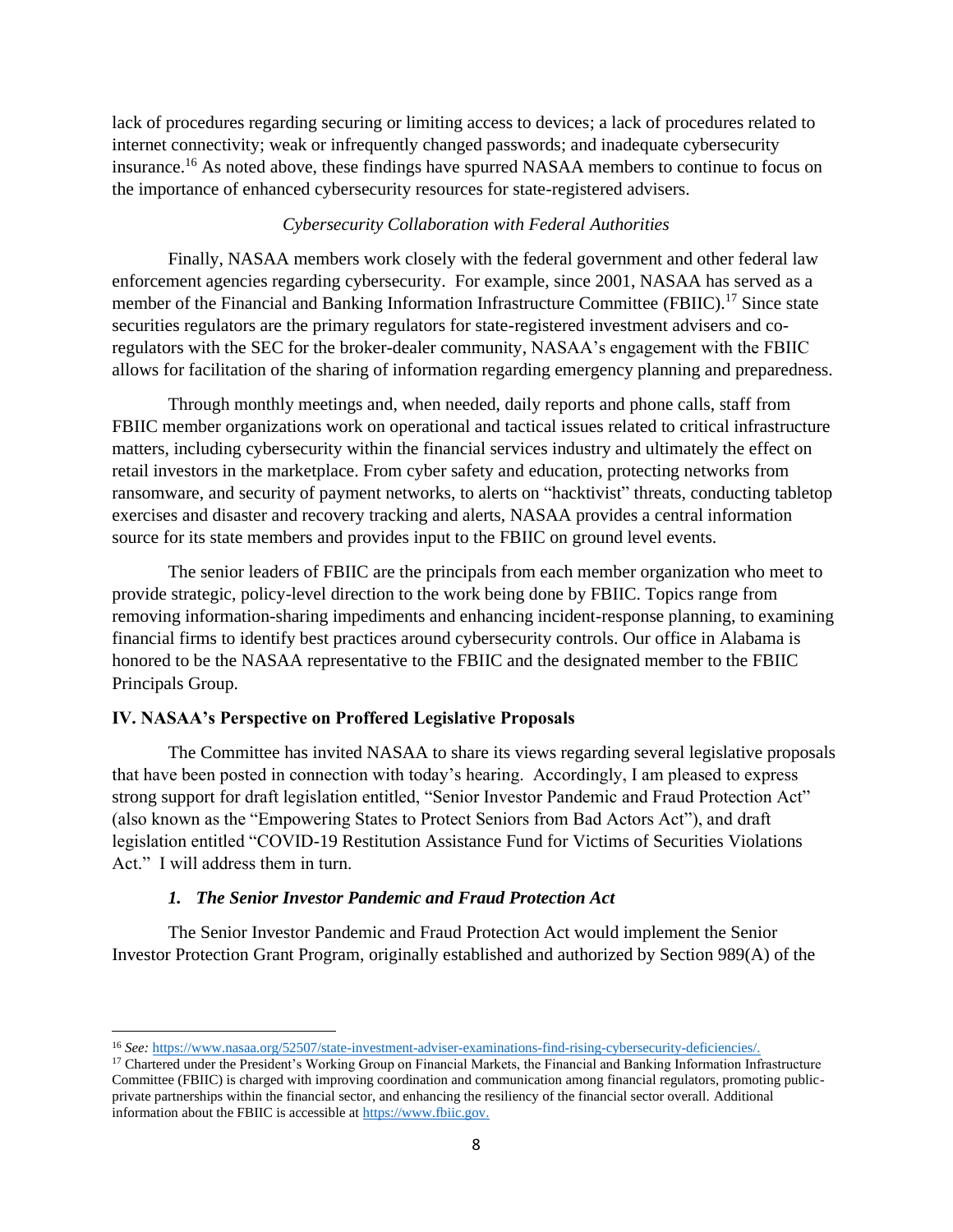lack of procedures regarding securing or limiting access to devices; a lack of procedures related to internet connectivity; weak or infrequently changed passwords; and inadequate cybersecurity insurance.<sup>16</sup> As noted above, these findings have spurred NASAA members to continue to focus on the importance of enhanced cybersecurity resources for state-registered advisers.

## *Cybersecurity Collaboration with Federal Authorities*

Finally, NASAA members work closely with the federal government and other federal law enforcement agencies regarding cybersecurity. For example, since 2001, NASAA has served as a member of the Financial and Banking Information Infrastructure Committee (FBIIC).<sup>17</sup> Since state securities regulators are the primary regulators for state-registered investment advisers and coregulators with the SEC for the broker-dealer community, NASAA's engagement with the FBIIC allows for facilitation of the sharing of information regarding emergency planning and preparedness.

Through monthly meetings and, when needed, daily reports and phone calls, staff from FBIIC member organizations work on operational and tactical issues related to critical infrastructure matters, including cybersecurity within the financial services industry and ultimately the effect on retail investors in the marketplace. From cyber safety and education, protecting networks from ransomware, and security of payment networks, to alerts on "hacktivist" threats, conducting tabletop exercises and disaster and recovery tracking and alerts, NASAA provides a central information source for its state members and provides input to the FBIIC on ground level events.

The senior leaders of FBIIC are the principals from each member organization who meet to provide strategic, policy-level direction to the work being done by FBIIC. Topics range from removing information-sharing impediments and enhancing incident-response planning, to examining financial firms to identify best practices around cybersecurity controls. Our office in Alabama is honored to be the NASAA representative to the FBIIC and the designated member to the FBIIC Principals Group.

# **IV. NASAA's Perspective on Proffered Legislative Proposals**

The Committee has invited NASAA to share its views regarding several legislative proposals that have been posted in connection with today's hearing. Accordingly, I am pleased to express strong support for draft legislation entitled, "Senior Investor Pandemic and Fraud Protection Act" (also known as the "Empowering States to Protect Seniors from Bad Actors Act"), and draft legislation entitled "COVID-19 Restitution Assistance Fund for Victims of Securities Violations Act." I will address them in turn.

## *1. The Senior Investor Pandemic and Fraud Protection Act*

The Senior Investor Pandemic and Fraud Protection Act would implement the Senior Investor Protection Grant Program, originally established and authorized by Section 989(A) of the

<sup>16</sup> *See:* [https://www.nasaa.org/52507/state-investment-adviser-examinations-find-rising-cybersecurity-deficiencies/.](https://www.nasaa.org/52507/state-investment-adviser-examinations-find-rising-cybersecurity-deficiencies/)

<sup>&</sup>lt;sup>17</sup> Chartered under the President's Working Group on Financial Markets, the Financial and Banking Information Infrastructure Committee (FBIIC) is charged with improving coordination and communication among financial regulators, promoting publicprivate partnerships within the financial sector, and enhancing the resiliency of the financial sector overall. Additional information about the FBIIC is accessible at [https://www.fbiic.gov.](https://www.fbiic.gov/)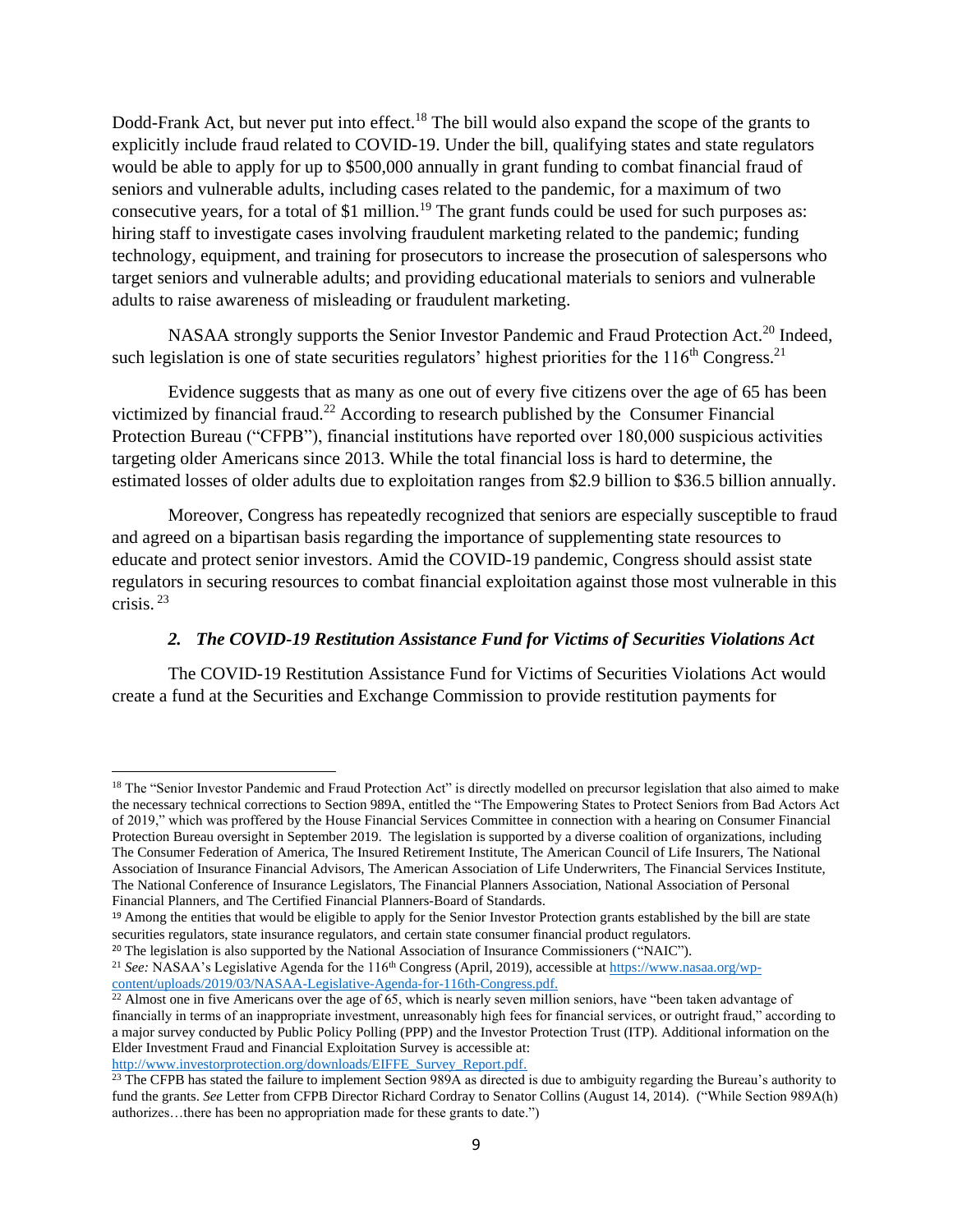Dodd-Frank Act, but never put into effect.<sup>18</sup> The bill would also expand the scope of the grants to explicitly include fraud related to COVID-19. Under the bill, qualifying states and state regulators would be able to apply for up to \$500,000 annually in grant funding to combat financial fraud of seniors and vulnerable adults, including cases related to the pandemic, for a maximum of two consecutive years, for a total of \$1 million.<sup>19</sup> The grant funds could be used for such purposes as: hiring staff to investigate cases involving fraudulent marketing related to the pandemic; funding technology, equipment, and training for prosecutors to increase the prosecution of salespersons who target seniors and vulnerable adults; and providing educational materials to seniors and vulnerable adults to raise awareness of misleading or fraudulent marketing.

NASAA strongly supports the Senior Investor Pandemic and Fraud Protection Act.<sup>20</sup> Indeed, such legislation is one of state securities regulators' highest priorities for the  $116<sup>th</sup>$  Congress.<sup>21</sup>

Evidence suggests that as many as one out of every five citizens over the age of 65 has been victimized by financial fraud.<sup>22</sup> According to research published by the Consumer Financial Protection Bureau ("CFPB"), financial institutions have reported over 180,000 suspicious activities targeting older Americans since 2013. While the total financial loss is hard to determine, the estimated losses of older adults due to exploitation ranges from \$2.9 billion to \$36.5 billion annually.

Moreover, Congress has repeatedly recognized that seniors are especially susceptible to fraud and agreed on a bipartisan basis regarding the importance of supplementing state resources to educate and protect senior investors. Amid the COVID-19 pandemic, Congress should assist state regulators in securing resources to combat financial exploitation against those most vulnerable in this crisis. 23

# *2. The COVID-19 Restitution Assistance Fund for Victims of Securities Violations Act*

The COVID-19 Restitution Assistance Fund for Victims of Securities Violations Act would create a fund at the Securities and Exchange Commission to provide restitution payments for

<sup>&</sup>lt;sup>18</sup> The "Senior Investor Pandemic and Fraud Protection Act" is directly modelled on precursor legislation that also aimed to make the necessary technical corrections to Section 989A, entitled the "The Empowering States to Protect Seniors from Bad Actors Act of 2019," which was proffered by the House Financial Services Committee in connection with a hearing on Consumer Financial Protection Bureau oversight in September 2019. The legislation is supported by a diverse coalition of organizations, including The Consumer Federation of America, The Insured Retirement Institute, The American Council of Life Insurers, The National Association of Insurance Financial Advisors, The American Association of Life Underwriters, The Financial Services Institute, The National Conference of Insurance Legislators, The Financial Planners Association, National Association of Personal Financial Planners, and The Certified Financial Planners-Board of Standards.

<sup>&</sup>lt;sup>19</sup> Among the entities that would be eligible to apply for the Senior Investor Protection grants established by the bill are state securities regulators, state insurance regulators, and certain state consumer financial product regulators.

<sup>&</sup>lt;sup>20</sup> The legislation is also supported by the National Association of Insurance Commissioners ("NAIC").

<sup>&</sup>lt;sup>21</sup> *See:* NASAA's Legislative Agenda for the 116<sup>th</sup> Congress (April, 2019), accessible at [https://www.nasaa.org/wp](https://www.nasaa.org/wp-content/uploads/2019/03/NASAA-Legislative-Agenda-for-116th-Congress.pdf)[content/uploads/2019/03/NASAA-Legislative-Agenda-for-116th-Congress.pdf.](https://www.nasaa.org/wp-content/uploads/2019/03/NASAA-Legislative-Agenda-for-116th-Congress.pdf)

 $22$  Almost one in five Americans over the age of 65, which is nearly seven million seniors, have "been taken advantage of financially in terms of an inappropriate investment, unreasonably high fees for financial services, or outright fraud," according to a major survey conducted by Public Policy Polling (PPP) and the Investor Protection Trust (ITP). Additional information on the Elder Investment Fraud and Financial Exploitation Survey is accessible at: [http://www.investorprotection.org/downloads/EIFFE\\_Survey\\_Report.pdf.](http://www.investorprotection.org/downloads/EIFFE_Survey_Report.pdf)

<sup>&</sup>lt;sup>23</sup> The CFPB has stated the failure to implement Section 989A as directed is due to ambiguity regarding the Bureau's authority to fund the grants. See Letter from CFPB Director Richard Cordray to Senator Collins (August 14, 2014). ("While Section 989A(h) authorizes…there has been no appropriation made for these grants to date.")